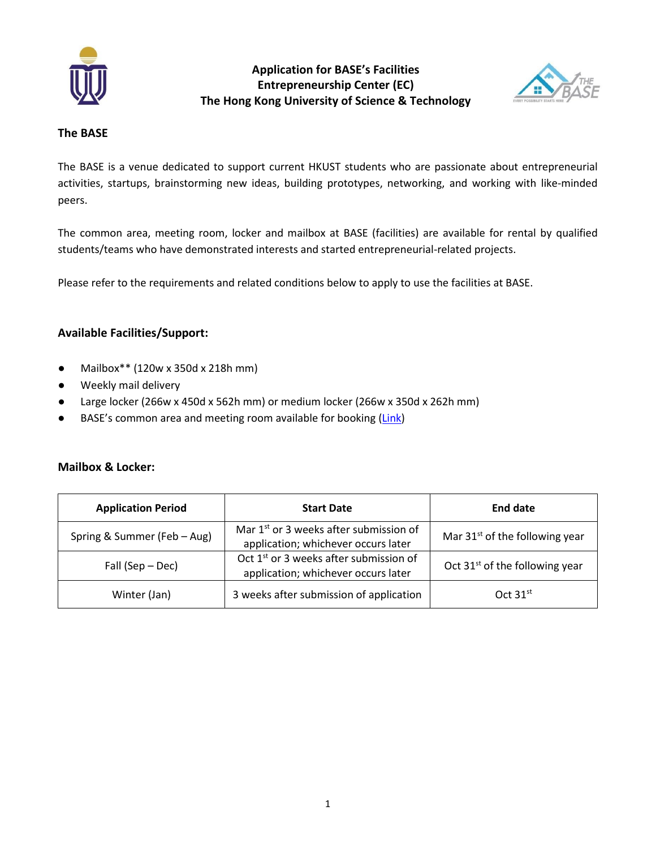

**Application for BASE's Facilities Entrepreneurship Center (EC) The Hong Kong University of Science & Technology**



### **The BASE**

The BASE is a venue dedicated to support current HKUST students who are passionate about entrepreneurial activities, startups, brainstorming new ideas, building prototypes, networking, and working with like-minded peers.

The common area, meeting room, locker and mailbox at BASE (facilities) are available for rental by qualified students/teams who have demonstrated interests and started entrepreneurial-related projects.

Please refer to the requirements and related conditions below to apply to use the facilities at BASE.

### **Available Facilities/Support:**

- Mailbox\*\* (120w x 350d x 218h mm)
- Weekly mail delivery
- Large locker (266w x 450d x 562h mm) or medium locker (266w x 350d x 262h mm)
- BASE's common area and meeting room available for booking [\(Link\)](https://docs.google.com/forms/d/e/1FAIpQLSenu_5eQu9dF62feq91UIrVAHanDre9YF9b95cxAEE9iaWBcQ/viewform?usp=pp_url)

### **Mailbox & Locker:**

| <b>Application Period</b>   | <b>Start Date</b>                                                                         | End date                                   |  |
|-----------------------------|-------------------------------------------------------------------------------------------|--------------------------------------------|--|
| Spring & Summer (Feb - Aug) | Mar 1 <sup>st</sup> or 3 weeks after submission of<br>application; whichever occurs later | Mar 31 <sup>st</sup> of the following year |  |
| Fall (Sep – Dec)            | Oct 1 <sup>st</sup> or 3 weeks after submission of<br>application; whichever occurs later | Oct $31st$ of the following year           |  |
| Winter (Jan)                | 3 weeks after submission of application                                                   | $Oct$ 31 <sup>st</sup>                     |  |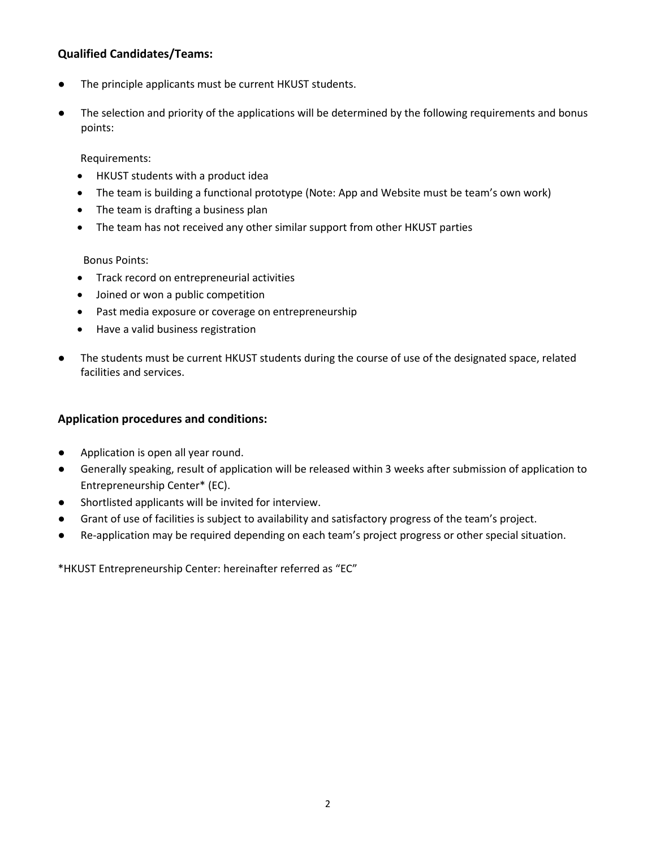## **Qualified Candidates/Teams:**

- The principle applicants must be current HKUST students.
- The selection and priority of the applications will be determined by the following requirements and bonus points:

#### Requirements:

- HKUST students with a product idea
- The team is building a functional prototype (Note: App and Website must be team's own work)
- The team is drafting a business plan
- The team has not received any other similar support from other HKUST parties

#### Bonus Points:

- Track record on entrepreneurial activities
- Joined or won a public competition
- Past media exposure or coverage on entrepreneurship
- Have a valid business registration
- The students must be current HKUST students during the course of use of the designated space, related facilities and services.

### **Application procedures and conditions:**

- Application is open all year round.
- Generally speaking, result of application will be released within 3 weeks after submission of application to Entrepreneurship Center\* (EC).
- Shortlisted applicants will be invited for interview.
- Grant of use of facilities is subject to availability and satisfactory progress of the team's project.
- Re-application may be required depending on each team's project progress or other special situation.

\*HKUST Entrepreneurship Center: hereinafter referred as "EC"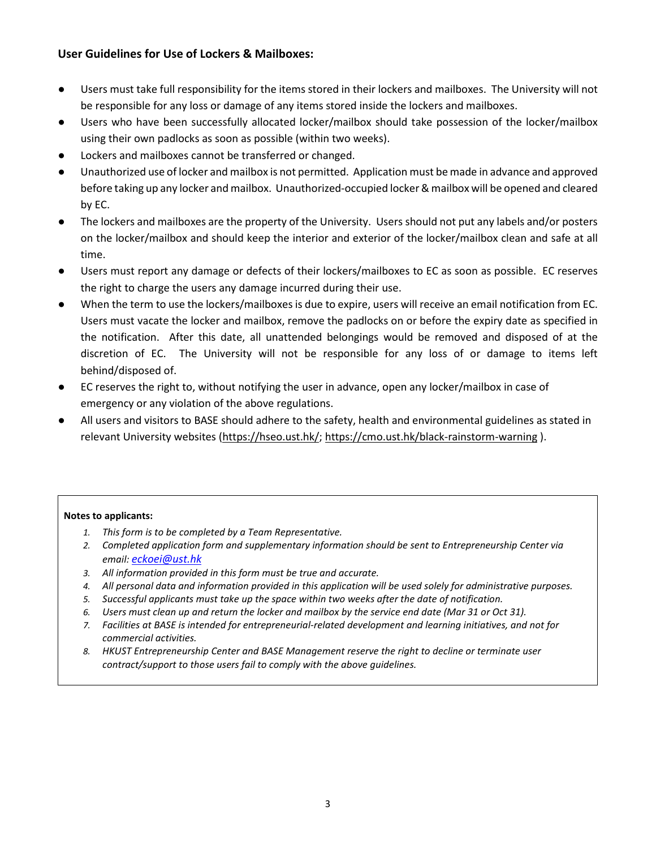## **User Guidelines for Use of Lockers & Mailboxes:**

- Users must take full responsibility for the items stored in their lockers and mailboxes. The University will not be responsible for any loss or damage of any items stored inside the lockers and mailboxes.
- Users who have been successfully allocated locker/mailbox should take possession of the locker/mailbox using their own padlocks as soon as possible (within two weeks).
- Lockers and mailboxes cannot be transferred or changed.
- Unauthorized use of locker and mailbox is not permitted. Application must be made in advance and approved before taking up any locker and mailbox. Unauthorized-occupied locker & mailbox will be opened and cleared by EC.
- The lockers and mailboxes are the property of the University. Users should not put any labels and/or posters on the locker/mailbox and should keep the interior and exterior of the locker/mailbox clean and safe at all time.
- Users must report any damage or defects of their lockers/mailboxes to EC as soon as possible. EC reserves the right to charge the users any damage incurred during their use.
- When the term to use the lockers/mailboxes is due to expire, users will receive an email notification from EC. Users must vacate the locker and mailbox, remove the padlocks on or before the expiry date as specified in the notification. After this date, all unattended belongings would be removed and disposed of at the discretion of EC. The University will not be responsible for any loss of or damage to items left behind/disposed of.
- EC reserves the right to, without notifying the user in advance, open any locker/mailbox in case of emergency or any violation of the above regulations.
- All users and visitors to BASE should adhere to the safety, health and environmental guidelines as stated in relevant University websites [\(https://hseo.ust.hk/;](https://hseo.ust.hk/)<https://cmo.ust.hk/black-rainstorm-warning>).

#### **Notes to applicants:**

- *1. This form is to be completed by a Team Representative.*
- *2. Completed application form and supplementary information should be sent to Entrepreneurship Center via email: [eckoei@ust.hk](mailto:eckoei@ust.hk)*
- *3. All information provided in this form must be true and accurate.*
- *4. All personal data and information provided in this application will be used solely for administrative purposes.*
- *5. Successful applicants must take up the space within two weeks after the date of notification.*
- *6. Users must clean up and return the locker and mailbox by the service end date (Mar 31 or Oct 31).*
- *7. Facilities at BASE is intended for entrepreneurial-related development and learning initiatives, and not for commercial activities.*
- *8. HKUST Entrepreneurship Center and BASE Management reserve the right to decline or terminate user contract/support to those users fail to comply with the above guidelines.*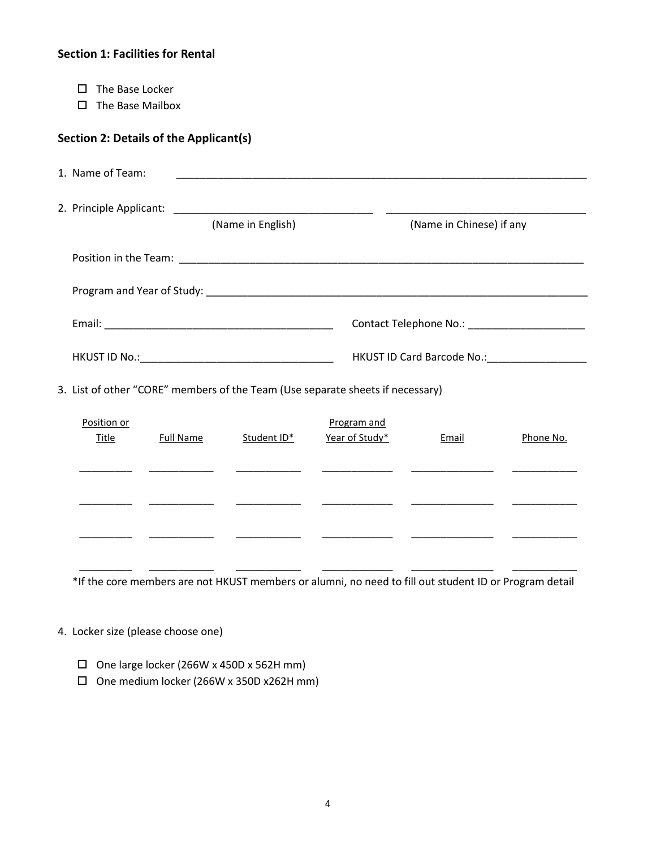## **Section 1: Facilities for Rental**

- $\square$  The Base Locker
- $\Box$  The Base Mailbox

# **Section 2: Details of the Applicant(s)**

| 1. Name of Team: |                   |                                                   |
|------------------|-------------------|---------------------------------------------------|
|                  | (Name in English) | (Name in Chinese) if any                          |
|                  |                   |                                                   |
|                  |                   |                                                   |
|                  |                   | Contact Telephone No.: The contact Telephone No.: |
| HKUST ID No.:    |                   | HKUST ID Card Barcode No.:                        |

3. List of other "CORE" members of the Team (Use separate sheets if necessary)

| Position or<br><b>Title</b> | <b>Full Name</b> | Student ID* | Program and<br>Year of Study* | Email | Phone No. |
|-----------------------------|------------------|-------------|-------------------------------|-------|-----------|
|                             |                  |             |                               |       |           |
|                             |                  |             |                               |       |           |
|                             |                  |             |                               |       |           |
|                             |                  |             |                               |       |           |
|                             |                  |             |                               |       |           |

\*If the core members are not HKUST members or alumni, no need to fill out student ID or Program detail

#### 4. Locker size (please choose one)

- $\square$  One large locker (266W x 450D x 562H mm)
- One medium locker (266W x 350D x262H mm)